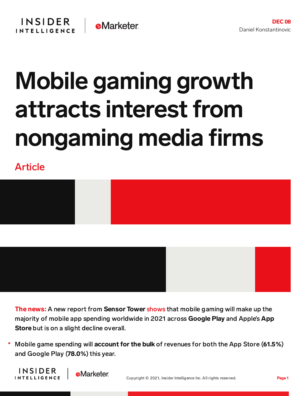## Mobile gaming growth attracts interest from nongaming media firms

Article





The news: A new report from Sensor Tower [shows](https://sensortower.com/blog/app-revenue-and-downloads-2021) that mobile gaming will make up the majority of mobile app spending worldwide in 2021 across Google Play and Apple's App Store but is on a slight decline overall.

Mobile game spending will account for the bulk of revenues for both the App Store (61.5%) and Google Play (78.0%) this year.